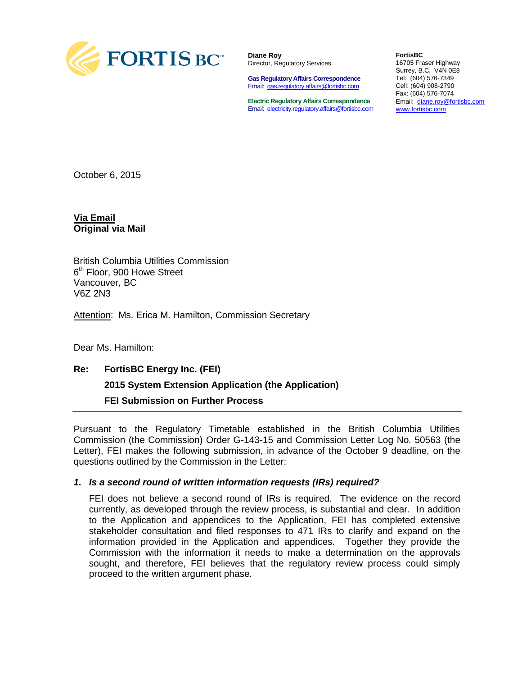

**Diane Roy** Director, Regulatory Services

**Gas Regulatory Affairs Correspondence** Email: [gas.regulatory.affairs@fortisbc.com](mailto:gas.regulatory.affairs@fortisbc.com)

**Electric Regulatory Affairs Correspondence** Email: [electricity.regulatory.affairs@fortisbc.com](mailto:electricity.regulatory.affairs@fortisbc.com)

**FortisBC**  16705 Fraser Highway Surrey, B.C. V4N 0E8 Tel: (604) 576-7349 Cell: (604) 908-2790 Fax: (604) 576-7074 Email: [diane.roy@fortisbc.com](mailto:diane.roy@fortisbc.com)  [www.fortisbc.com](http://www.fortisbc.com/)

October 6, 2015

**Via Email Original via Mail**

British Columbia Utilities Commission 6<sup>th</sup> Floor, 900 Howe Street Vancouver, BC V6Z 2N3

Attention: Ms. Erica M. Hamilton, Commission Secretary

Dear Ms. Hamilton:

# **Re: FortisBC Energy Inc. (FEI) 2015 System Extension Application (the Application) FEI Submission on Further Process**

Pursuant to the Regulatory Timetable established in the British Columbia Utilities Commission (the Commission) Order G-143-15 and Commission Letter Log No. 50563 (the Letter), FEI makes the following submission, in advance of the October 9 deadline, on the questions outlined by the Commission in the Letter:

#### *1. Is a second round of written information requests (IRs) required?*

FEI does not believe a second round of IRs is required. The evidence on the record currently, as developed through the review process, is substantial and clear. In addition to the Application and appendices to the Application, FEI has completed extensive stakeholder consultation and filed responses to 471 IRs to clarify and expand on the information provided in the Application and appendices. Together they provide the Commission with the information it needs to make a determination on the approvals sought, and therefore, FEI believes that the regulatory review process could simply proceed to the written argument phase.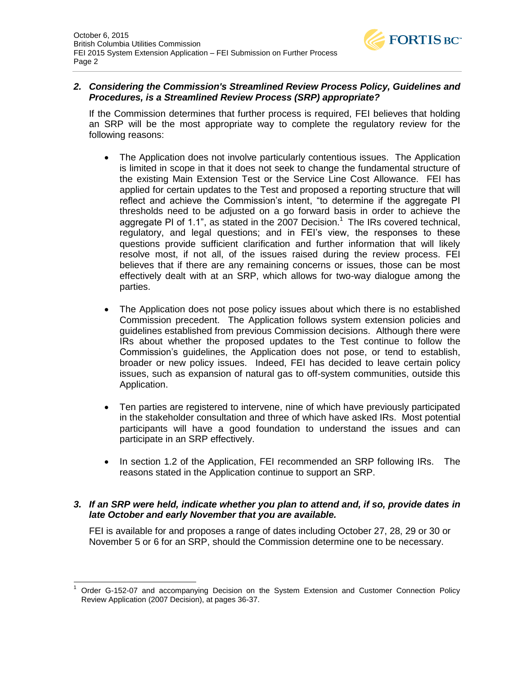

### *2. Considering the Commission's Streamlined Review Process Policy, Guidelines and Procedures, is a Streamlined Review Process (SRP) appropriate?*

If the Commission determines that further process is required, FEI believes that holding an SRP will be the most appropriate way to complete the regulatory review for the following reasons:

- The Application does not involve particularly contentious issues. The Application is limited in scope in that it does not seek to change the fundamental structure of the existing Main Extension Test or the Service Line Cost Allowance. FEI has applied for certain updates to the Test and proposed a reporting structure that will reflect and achieve the Commission's intent, "to determine if the aggregate PI thresholds need to be adjusted on a go forward basis in order to achieve the aggregate PI of 1.1", as stated in the 2007 Decision.<sup>1</sup> The IRs covered technical, regulatory, and legal questions; and in FEI's view, the responses to these questions provide sufficient clarification and further information that will likely resolve most, if not all, of the issues raised during the review process. FEI believes that if there are any remaining concerns or issues, those can be most effectively dealt with at an SRP, which allows for two-way dialogue among the parties.
- The Application does not pose policy issues about which there is no established Commission precedent. The Application follows system extension policies and guidelines established from previous Commission decisions. Although there were IRs about whether the proposed updates to the Test continue to follow the Commission's guidelines, the Application does not pose, or tend to establish, broader or new policy issues. Indeed, FEI has decided to leave certain policy issues, such as expansion of natural gas to off-system communities, outside this Application.
- Ten parties are registered to intervene, nine of which have previously participated in the stakeholder consultation and three of which have asked IRs. Most potential participants will have a good foundation to understand the issues and can participate in an SRP effectively.
- In section 1.2 of the Application, FEI recommended an SRP following IRs. The reasons stated in the Application continue to support an SRP.

#### *3. If an SRP were held, indicate whether you plan to attend and, if so, provide dates in late October and early November that you are available.*

FEI is available for and proposes a range of dates including October 27, 28, 29 or 30 or November 5 or 6 for an SRP, should the Commission determine one to be necessary.

 <sup>1</sup> Order G-152-07 and accompanying Decision on the System Extension and Customer Connection Policy Review Application (2007 Decision), at pages 36-37.